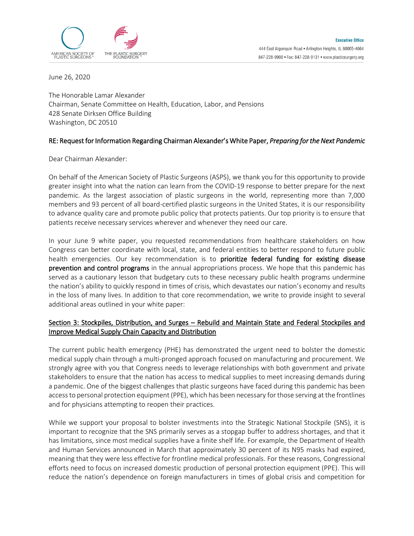

June 26, 2020

The Honorable Lamar Alexander Chairman, Senate Committee on Health, Education, Labor, and Pensions 428 Senate Dirksen Office Building Washington, DC 20510

## RE: Request for Information Regarding Chairman Alexander's White Paper, *Preparing for the Next Pandemic*

Dear Chairman Alexander:

On behalf of the American Society of Plastic Surgeons (ASPS), we thank you for this opportunity to provide greater insight into what the nation can learn from the COVID-19 response to better prepare for the next pandemic. As the largest association of plastic surgeons in the world, representing more than 7,000 members and 93 percent of all board-certified plastic surgeons in the United States, it is our responsibility to advance quality care and promote public policy that protects patients. Our top priority is to ensure that patients receive necessary services wherever and whenever they need our care.

In your June 9 white paper, you requested recommendations from healthcare stakeholders on how Congress can better coordinate with local, state, and federal entities to better respond to future public health emergencies. Our key recommendation is to prioritize federal funding for existing disease prevention and control programs in the annual appropriations process. We hope that this pandemic has served as a cautionary lesson that budgetary cuts to these necessary public health programs undermine the nation's ability to quickly respond in times of crisis, which devastates our nation's economy and results in the loss of many lives. In addition to that core recommendation, we write to provide insight to several additional areas outlined in your white paper:

# Section 3: Stockpiles, Distribution, and Surges – Rebuild and Maintain State and Federal Stockpiles and Improve Medical Supply Chain Capacity and Distribution

The current public health emergency (PHE) has demonstrated the urgent need to bolster the domestic medical supply chain through a multi-pronged approach focused on manufacturing and procurement. We strongly agree with you that Congress needs to leverage relationships with both government and private stakeholders to ensure that the nation has access to medical supplies to meet increasing demands during a pandemic. One of the biggest challenges that plastic surgeons have faced during this pandemic has been access to personal protection equipment (PPE), which has been necessary for those serving at the frontlines and for physicians attempting to reopen their practices.

While we support your proposal to bolster investments into the Strategic National Stockpile (SNS), it is important to recognize that the SNS primarily serves as a stopgap buffer to address shortages, and that it has limitations, since most medical supplies have a finite shelf life. For example, the Department of Health and Human Services announced in March that approximately 30 percent of its N95 masks had expired, meaning that they were less effective for frontline medical professionals. For these reasons, Congressional efforts need to focus on increased domestic production of personal protection equipment (PPE). This will reduce the nation's dependence on foreign manufacturers in times of global crisis and competition for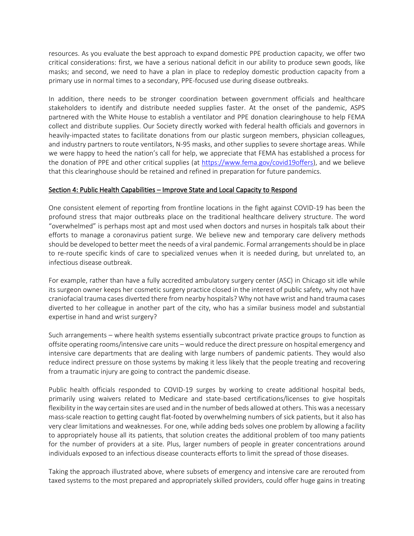resources. As you evaluate the best approach to expand domestic PPE production capacity, we offer two critical considerations: first, we have a serious national deficit in our ability to produce sewn goods, like masks; and second, we need to have a plan in place to redeploy domestic production capacity from a primary use in normal times to a secondary, PPE-focused use during disease outbreaks.

In addition, there needs to be stronger coordination between government officials and healthcare stakeholders to identify and distribute needed supplies faster. At the onset of the pandemic, ASPS partnered with the White House to establish a ventilator and PPE donation clearinghouse to help FEMA collect and distribute supplies. Our Society directly worked with federal health officials and governors in heavily-impacted states to facilitate donations from our plastic surgeon members, physician colleagues, and industry partners to route ventilators, N-95 masks, and other supplies to severe shortage areas. While we were happy to heed the nation's call for help, we appreciate that FEMA has established a process for the donation of PPE and other critical supplies (at [https://www.fema.gov/covid19offers\)](https://www.fema.gov/covid19offers), and we believe that this clearinghouse should be retained and refined in preparation for future pandemics.

### Section 4: Public Health Capabilities – Improve State and Local Capacity to Respond

One consistent element of reporting from frontline locations in the fight against COVID-19 has been the profound stress that major outbreaks place on the traditional healthcare delivery structure. The word "overwhelmed" is perhaps most apt and most used when doctors and nurses in hospitals talk about their efforts to manage a coronavirus patient surge. We believe new and temporary care delivery methods should be developed to better meet the needs of a viral pandemic. Formal arrangements should be in place to re-route specific kinds of care to specialized venues when it is needed during, but unrelated to, an infectious disease outbreak.

For example, rather than have a fully accredited ambulatory surgery center (ASC) in Chicago sit idle while its surgeon owner keeps her cosmetic surgery practice closed in the interest of public safety, why not have craniofacial trauma cases diverted there from nearby hospitals? Why not have wrist and hand trauma cases diverted to her colleague in another part of the city, who has a similar business model and substantial expertise in hand and wrist surgery?

Such arrangements – where health systems essentially subcontract private practice groups to function as offsite operating rooms/intensive care units – would reduce the direct pressure on hospital emergency and intensive care departments that are dealing with large numbers of pandemic patients. They would also reduce indirect pressure on those systems by making it less likely that the people treating and recovering from a traumatic injury are going to contract the pandemic disease.

Public health officials responded to COVID-19 surges by working to create additional hospital beds, primarily using waivers related to Medicare and state-based certifications/licenses to give hospitals flexibility in the way certain sites are used and in the number of beds allowed at others. This was a necessary mass-scale reaction to getting caught flat-footed by overwhelming numbers of sick patients, but it also has very clear limitations and weaknesses. For one, while adding beds solves one problem by allowing a facility to appropriately house all its patients, that solution creates the additional problem of too many patients for the number of providers at a site. Plus, larger numbers of people in greater concentrations around individuals exposed to an infectious disease counteracts efforts to limit the spread of those diseases.

Taking the approach illustrated above, where subsets of emergency and intensive care are rerouted from taxed systems to the most prepared and appropriately skilled providers, could offer huge gains in treating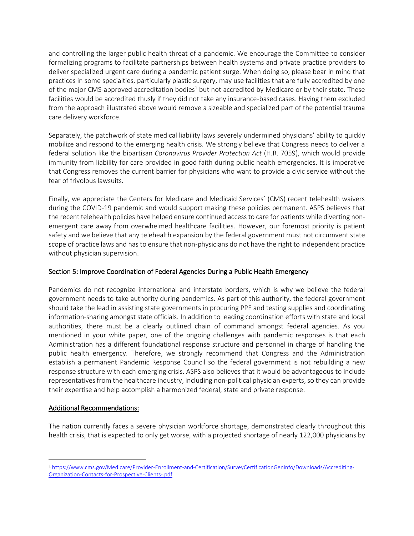and controlling the larger public health threat of a pandemic. We encourage the Committee to consider formalizing programs to facilitate partnerships between health systems and private practice providers to deliver specialized urgent care during a pandemic patient surge. When doing so, please bear in mind that practices in some specialties, particularly plastic surgery, may use facilities that are fully accredited by one of the major CMS-approved accreditation bodies<sup>1</sup> but not accredited by Medicare or by their state. These facilities would be accredited thusly if they did not take any insurance-based cases. Having them excluded from the approach illustrated above would remove a sizeable and specialized part of the potential trauma care delivery workforce.

Separately, the patchwork of state medical liability laws severely undermined physicians' ability to quickly mobilize and respond to the emerging health crisis. We strongly believe that Congress needs to deliver a federal solution like the bipartisan *Coronavirus Provider Protection Act* (H.R. 7059), which would provide immunity from liability for care provided in good faith during public health emergencies. It is imperative that Congress removes the current barrier for physicians who want to provide a civic service without the fear of frivolous lawsuits.

Finally, we appreciate the Centers for Medicare and Medicaid Services' (CMS) recent telehealth waivers during the COVID-19 pandemic and would support making these policies permanent. ASPS believes that the recent telehealth policies have helped ensure continued access to care for patients while diverting nonemergent care away from overwhelmed healthcare facilities. However, our foremost priority is patient safety and we believe that any telehealth expansion by the federal government must not circumvent state scope of practice laws and has to ensure that non-physicians do not have the right to independent practice without physician supervision.

# Section 5: Improve Coordination of Federal Agencies During a Public Health Emergency

Pandemics do not recognize international and interstate borders, which is why we believe the federal government needs to take authority during pandemics. As part of this authority, the federal government should take the lead in assisting state governments in procuring PPE and testing supplies and coordinating information-sharing amongst state officials. In addition to leading coordination efforts with state and local authorities, there must be a clearly outlined chain of command amongst federal agencies. As you mentioned in your white paper, one of the ongoing challenges with pandemic responses is that each Administration has a different foundational response structure and personnel in charge of handling the public health emergency. Therefore, we strongly recommend that Congress and the Administration establish a permanent Pandemic Response Council so the federal government is not rebuilding a new response structure with each emerging crisis. ASPS also believes that it would be advantageous to include representatives from the healthcare industry, including non-political physician experts, so they can provide their expertise and help accomplish a harmonized federal, state and private response.

### Additional Recommendations:

The nation currently faces a severe physician workforce shortage, demonstrated clearly throughout this health crisis, that is expected to only get worse, with a projected shortage of nearly 122,000 physicians by

<sup>1</sup> [https://www.cms.gov/Medicare/Provider-Enrollment-and-Certification/SurveyCertificationGenInfo/Downloads/Accrediting-](https://www.cms.gov/Medicare/Provider-Enrollment-and-Certification/SurveyCertificationGenInfo/Downloads/Accrediting-Organization-Contacts-for-Prospective-Clients-.pdf)[Organization-Contacts-for-Prospective-Clients-.pdf](https://www.cms.gov/Medicare/Provider-Enrollment-and-Certification/SurveyCertificationGenInfo/Downloads/Accrediting-Organization-Contacts-for-Prospective-Clients-.pdf)